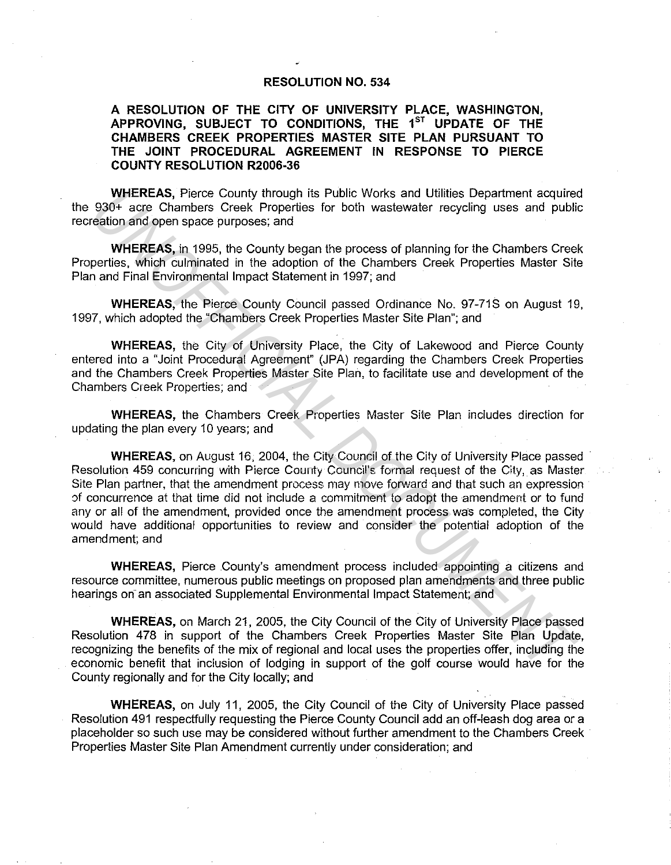## **RESOLUTION NO. 534**

## **A RESOLUTION OF THE CITY OF UNIVERSITY PLACE, WASHINGTON,**  APPROVING, SUBJECT TO CONDITIONS, THE 1<sup>ST</sup> UPDATE OF THE **CHAMBERS CREEK PROPERTIES MASTER SITE PLAN PURSUANT TO THE JOINT PROCEDURAL AGREEMENT IN RESPONSE TO PIERCE COUNTY RESOLUTION R2006-36**

**WHEREAS,** Pierce County through its Public Works and Utilities Department acquired the 930+ acre Chambers Creek Properties for both wastewater recycling uses and public recreation and open space purposes; and

**WHEREAS,** in 1995, the County began the process of planning for the Chambers Creek Properties, which culminated in the adoption of the Chambers Creek Properties Master Site Plan and Final Environmental Impact Statement in 1997; and

**WHEREAS,** the Pierce County Council passed Ordinance No. 97-71S on August 19, 1997, which adopted the "Chambers Creek Properties Master Site Plan"; and

**WHEREAS,** the City of University Place, the City of Lakewood and Pierce County entered into a "Joint Procedural Agreement" (JPA) regarding the Chambers Creek Properties and the Chambers Creek Properties Master Site Plan, to facilitate use and development of the Chambers Creek Properties; and

**WHEREAS,** the Chambers Creek Properties Master Site Plan includes direction for updating the plan every 10 years; and

**WHEREAS,** on August 16, 2004, the City Council of the City of University Place passed · Resolution 459 concurring with Pierce County Council's formal request of the City, as Master Site Plan partner, that the amendment process may move forward and that such an expression of concurrence at that time did not include a commitment to adopt the amendment or to fund any or all of the amendment, provided once the amendment process was completed, the City would have additional opportunities to review and consider the potential adoption of the amendment; and WHEREAS, Pierce Countly through its Public Works and Ultilities Department acquires<br> **Winder Examples:** Creek Properties for both wastewater recycling uses and public<br>
readion and open space purposes, and<br> **WHEREAS**, in 19

**WHEREAS,** Pierce County's amendment process included appointing a citizens and resource committee, numerous public meetings on proposed plan amendments and three public hearings on an associated Supplemental Environmental Impact Statement; and

**WHEREAS,** on March 21, 2005, the City Council of the City of University Place passed Resolution 478 in support of the Chambers Creek Properties Master Site Plan Update, recognizing the benefits of the mix of regional and local uses the properties offer, including the economic benefit that inclusion of lodging in support of the golf course would have for the County regionally and for the City locally; and

**WHEREAS,** on July 11, 2005, the City Council of the City of University Place passed Resolution 491 respectfully requesting the Pierce County Council add an off-leash dog area or a placeholder so such use may be considered without further amendment to the Chambers Creek Properties Master Site Plan Amendment currently under consideration; and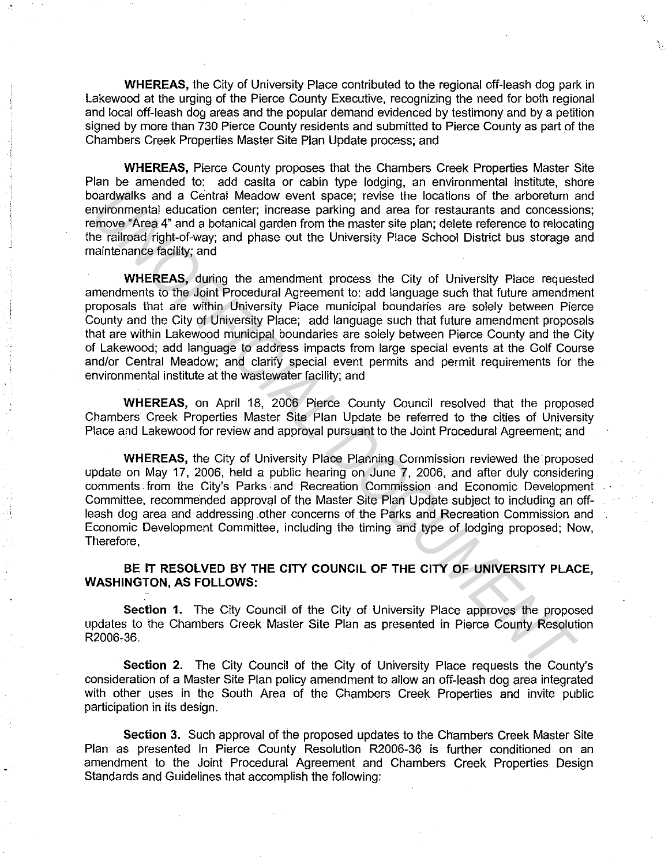**WHEREAS,** the City of University Place contributed to the regional off-leash dog park in Lakewood at the urging of the Pierce County Executive, recognizing the need for both regional and local off-leash dog areas and the popular demand evidenced by testimony and by a petition signed by more than 730 Pierce County residents and submitted to Pierce County as part of the Chambers Creek Properties Master Site Plan Update process; and

'C,

**WHEREAS,** Pierce County proposes that the Chambers Creek Properties Master Site Plan be amended to: add casita or cabin type lodging, an environmental institute, shore boardwalks and a Central Meadow event space; revise the locations of the arboretum and environmental education center; increase parking and area for restaurants and concessions; remove "Area 4" and a botanical garden from the master site plan; delete reference to relocating the railroad right-of-way; and phase out the University Place School District bus storage and maintenance facility; and

**WHEREAS,** during the amendment process the City of University Place requested amendments to the Joint Procedural Agreement to: add language such that future amendment proposals that are within University Place municipal boundaries are solely between Pierce County and the City of University Place; add language such that future amendment proposals that are within Lakewood municipal boundaries are solely between Pierce County and the City of Lakewood; add language to address impacts from large special events at the Golf Course and/or Central Meadow; and clarify special event permits and permit requirements for the environmental institute at the wastewater facility; and oardwalks and a Cental Medow over the packic; revise the locations of the aforotomy computering and accounting and contour and contour and contour of the most simple the most simple that in the state in the state of the co

**WHEREAS,** on April 18, 2006 Pierce County Council resolved that the proposed Chambers Creek Properties Master Site Plan Update be referred to the cities of University Place and Lakewood for review and approval pursuant to the Joint Procedural Agreement; and

**WHEREAS, the City of University Place Planning Commission reviewed the proposed** update on May 17, 2006, held a public hearing on June 7, 2006, and after duly considering comments. from the City's Parks: and Recreation Commission and Economic Development Committee, recommended approval of the Master Site Plan Update subject to including an offleash dog area and addressing other concerns of the Parks and Recreation Commission and Economic Development Committee, including the timing and type of lodging proposed; Now, Therefore,

## **BE IT RESOLVED BY THE CITY COUNCIL OF THE CITY OF UNIVERSITY PLACE, WASHINGTON, AS FOLLOWS:**

**Section 1.** The City Council of the City of University Place approves the proposed updates to the Chambers Creek Master Site Plan as presented in Pierce County Resolution R2006-36.

**Section 2.** The City Council of the City of University Place requests the County's consideration of a Master Site Plan policy amendment to allow an off-leash dog area integrated with other uses in the South Area of the Chambers Creek Properties and invite public participation in its design.

**Section** 3. Such approval of the proposed updates to the Chambers Creek Master Site Plan as presented in Pierce County Resolution R2006-36 is further conditioned on an amendment to the Joint Procedural Agreement and Chambers Creek Properties Design Standards and Guidelines that accomplish the following: